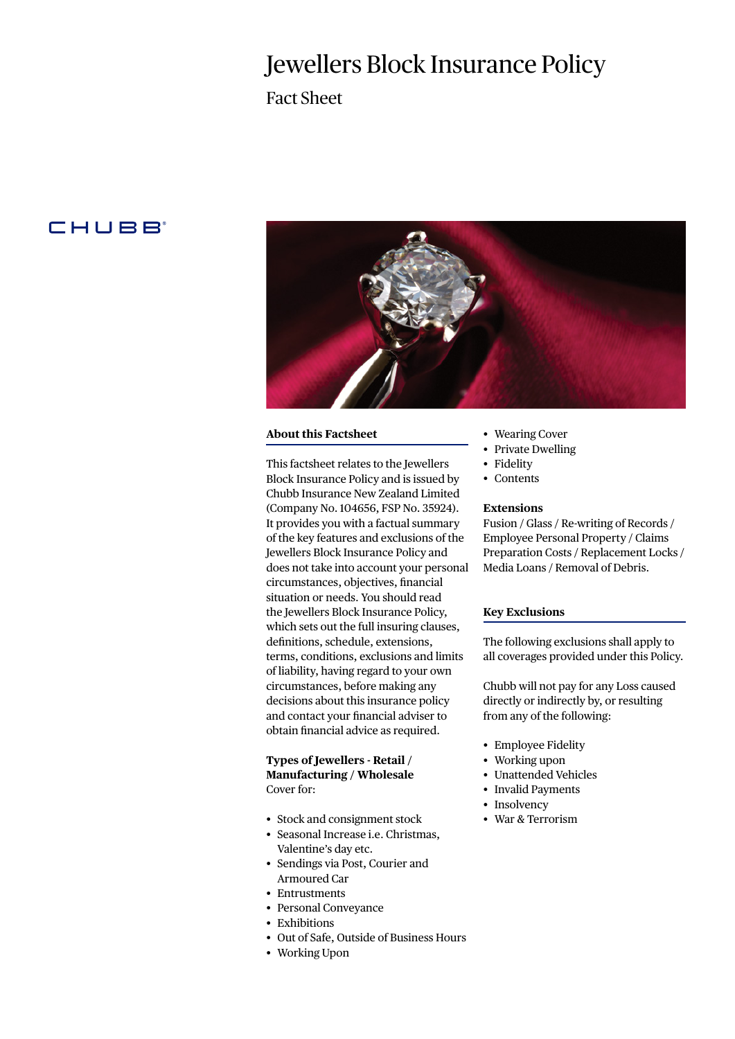# Jewellers Block Insurance Policy

Fact Sheet

# **CHUBB**



### **About this Factsheet**

This factsheet relates to the Jewellers Block Insurance Policy and is issued by Chubb Insurance New Zealand Limited (Company No. 104656, FSP No. 35924). It provides you with a factual summary of the key features and exclusions of the Jewellers Block Insurance Policy and does not take into account your personal circumstances, objectives, financial situation or needs. You should read the Jewellers Block Insurance Policy, which sets out the full insuring clauses, definitions, schedule, extensions, terms, conditions, exclusions and limits of liability, having regard to your own circumstances, before making any decisions about this insurance policy and contact your financial adviser to obtain financial advice as required.

# **Types of Jewellers - Retail / Manufacturing / Wholesale** Cover for:

- Stock and consignment stock
- Seasonal Increase i.e. Christmas, Valentine's day etc.
- Sendings via Post, Courier and Armoured Car
- Entrustments
- Personal Conveyance
- Exhibitions
- Out of Safe, Outside of Business Hours
- Working Upon
- Wearing Cover
- Private Dwelling
- Fidelity
- Contents

#### **Extensions**

Fusion / Glass / Re-writing of Records / Employee Personal Property / Claims Preparation Costs / Replacement Locks / Media Loans / Removal of Debris.

#### **Key Exclusions**

The following exclusions shall apply to all coverages provided under this Policy.

Chubb will not pay for any Loss caused directly or indirectly by, or resulting from any of the following:

- Employee Fidelity
- Working upon
- Unattended Vehicles
- Invalid Payments
- Insolvency
- War & Terrorism